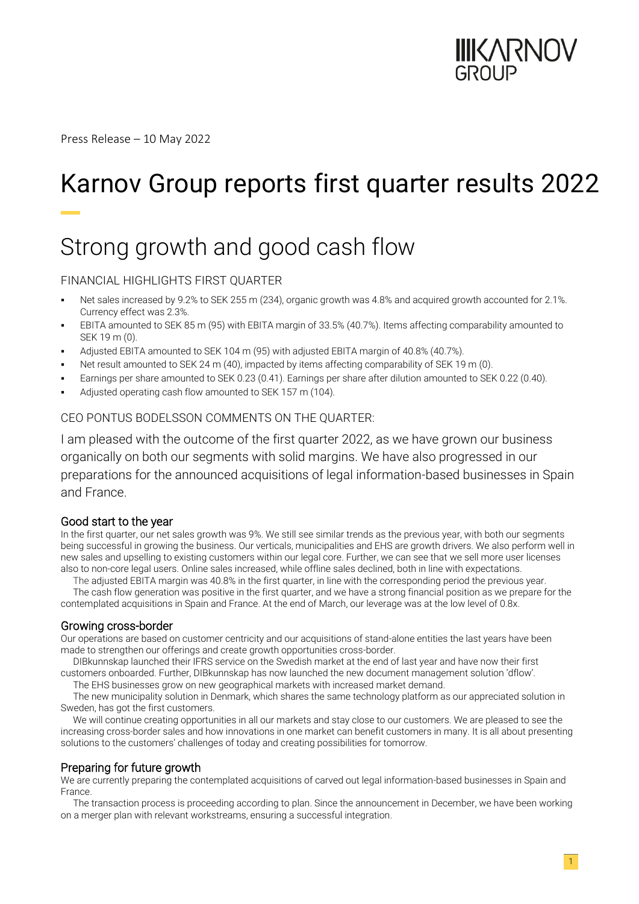

Press Release – 10 May 2022

# Karnov Group reports first quarter results 2022

## Strong growth and good cash flow

#### FINANCIAL HIGHLIGHTS FIRST QUARTER

- Net sales increased by 9.2% to SEK 255 m (234), organic growth was 4.8% and acquired growth accounted for 2.1%. Currency effect was 2.3%.
- EBITA amounted to SEK 85 m (95) with EBITA margin of 33.5% (40.7%). Items affecting comparability amounted to SEK 19 m (0).
- Adjusted EBITA amounted to SEK 104 m (95) with adjusted EBITA margin of 40.8% (40.7%).
- Net result amounted to SEK 24 m (40), impacted by items affecting comparability of SEK 19 m (0).
- Earnings per share amounted to SEK 0.23 (0.41). Earnings per share after dilution amounted to SEK 0.22 (0.40).
- Adjusted operating cash flow amounted to SEK 157 m (104).

#### CEO PONTUS BODELSSON COMMENTS ON THE QUARTER:

I am pleased with the outcome of the first quarter 2022, as we have grown our business organically on both our segments with solid margins. We have also progressed in our preparations for the announced acquisitions of legal information-based businesses in Spain and France.

#### Good start to the year

In the first quarter, our net sales growth was 9%. We still see similar trends as the previous year, with both our segments being successful in growing the business. Our verticals, municipalities and EHS are growth drivers. We also perform well in new sales and upselling to existing customers within our legal core. Further, we can see that we sell more user licenses also to non-core legal users. Online sales increased, while offline sales declined, both in line with expectations.

The adjusted EBITA margin was 40.8% in the first quarter, in line with the corresponding period the previous year.

The cash flow generation was positive in the first quarter, and we have a strong financial position as we prepare for the contemplated acquisitions in Spain and France. At the end of March, our leverage was at the low level of 0.8x.

#### Growing cross-border

Our operations are based on customer centricity and our acquisitions of stand-alone entities the last years have been made to strengthen our offerings and create growth opportunities cross-border.

DIBkunnskap launched their IFRS service on the Swedish market at the end of last year and have now their first customers onboarded. Further, DIBkunnskap has now launched the new document management solution 'dflow'.

The EHS businesses grow on new geographical markets with increased market demand.

The new municipality solution in Denmark, which shares the same technology platform as our appreciated solution in Sweden, has got the first customers.

We will continue creating opportunities in all our markets and stay close to our customers. We are pleased to see the increasing cross-border sales and how innovations in one market can benefit customers in many. It is all about presenting solutions to the customers' challenges of today and creating possibilities for tomorrow.

### Preparing for future growth

We are currently preparing the contemplated acquisitions of carved out legal information-based businesses in Spain and France.

The transaction process is proceeding according to plan. Since the announcement in December, we have been working on a merger plan with relevant workstreams, ensuring a successful integration.